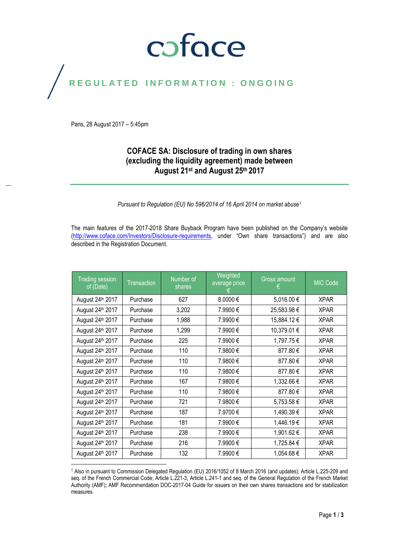## coface

## REGULATED INFORMATION : ONGOING

Paris, 28 August 2017 – 5:45pm

#### **COFACE SA: Disclosure of trading in own shares (excluding the liquidity agreement) made between August 21st and August 25th 2017**

*Pursuant to Regulation (EU) No 596/2014 of 16 April 2014 on market abuse<sup>1</sup>*

The main features of the 2017-2018 Share Buyback Program have been published on the Company's website [\(http://www.coface.com/Investors/Disclosure-requirements](http://www.coface.com/Investors/Disclosure-requirements), under "Own share transactions") and are also described in the Registration Document.

| <b>Trading session</b><br>of (Date) | <b>Transaction</b> | Number of<br>shares | <b>Weighted</b><br>average price | Gross amount<br>€ | MIC Code    |
|-------------------------------------|--------------------|---------------------|----------------------------------|-------------------|-------------|
| August 24th 2017                    | Purchase           | 627                 | 8.0000€                          | 5,016.00 €        | <b>XPAR</b> |
| August 24th 2017                    | Purchase           | 3,202               | 7.9900€                          | 25,583.98€        | <b>XPAR</b> |
| August 24th 2017                    | Purchase           | 1,988               | 7.9900€                          | 15,884.12€        | <b>XPAR</b> |
| August 24th 2017                    | Purchase           | 1,299               | 7.9900 €                         | 10,379.01 €       | <b>XPAR</b> |
| August 24 <sup>th</sup> 2017        | Purchase           | 225                 | 7.9900€                          | 1,797.75€         | <b>XPAR</b> |
| August 24 <sup>th</sup> 2017        | Purchase           | 110                 | 7.9800€                          | 877.80€           | <b>XPAR</b> |
| August 24 <sup>th</sup> 2017        | Purchase           | 110                 | 7.9800€                          | 877.80 €          | <b>XPAR</b> |
| August 24 <sup>th</sup> 2017        | Purchase           | 110                 | 7.9800€                          | 877.80€           | <b>XPAR</b> |
| August 24 <sup>th</sup> 2017        | Purchase           | 167                 | 7.9800€                          | 1,332.66 €        | <b>XPAR</b> |
| August 24 <sup>th</sup> 2017        | Purchase           | 110                 | 7.9800€                          | 877.80 €          | <b>XPAR</b> |
| August 24 <sup>th</sup> 2017        | Purchase           | 721                 | 7.9800€                          | 5,753.58 €        | <b>XPAR</b> |
| August 24 <sup>th</sup> 2017        | Purchase           | 187                 | 7.9700€                          | 1,490.39€         | <b>XPAR</b> |
| August 24 <sup>th</sup> 2017        | Purchase           | 181                 | 7.9900€                          | 1,446.19€         | <b>XPAR</b> |
| August 24 <sup>th</sup> 2017        | Purchase           | 238                 | 7.9900€                          | 1,901.62 €        | <b>XPAR</b> |
| August 24 <sup>th</sup> 2017        | Purchase           | 216                 | 7.9900€                          | 1,725.84 €        | <b>XPAR</b> |
| August 24 <sup>th</sup> 2017        | Purchase           | 132                 | 7.9900 €                         | 1,054.68 €        | <b>XPAR</b> |

 $\overline{a}$ <sup>1</sup> Also in pursuant to Commission Delegated Regulation (EU) 2016/1052 of 8 March 2016 (and updates); Article L.225-209 and seq. of the French Commercial Code; Article L.221-3, Article L.241-1 and seq. of the General Regulation of the French Market Authority (AMF); AMF Recommendation DOC-2017-04 Guide for issuers on their own shares transactions and for stabilization measures.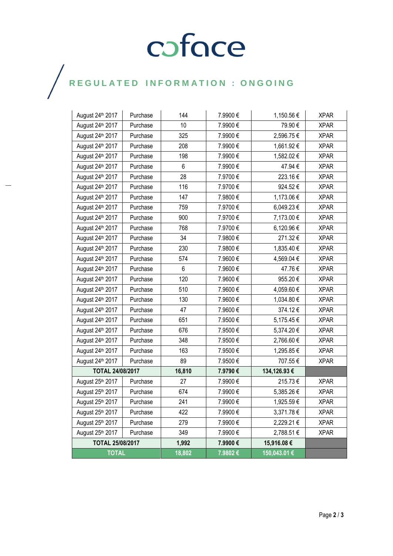# COFOCE

## $\bigg)$

| August 24th 2017             | Purchase | 144    | 7.9900€ | 1,150.56 €   | <b>XPAR</b> |
|------------------------------|----------|--------|---------|--------------|-------------|
| August 24th 2017             | Purchase | 10     | 7.9900€ | 79.90€       | <b>XPAR</b> |
| August 24th 2017             | Purchase | 325    | 7.9900€ | 2,596.75€    | <b>XPAR</b> |
| August 24th 2017             | Purchase | 208    | 7.9900€ | 1,661.92€    | <b>XPAR</b> |
| August 24 <sup>th</sup> 2017 | Purchase | 198    | 7.9900€ | 1,582.02 €   | <b>XPAR</b> |
| August 24th 2017             | Purchase | 6      | 7.9900€ | 47.94€       | <b>XPAR</b> |
| August 24th 2017             | Purchase | 28     | 7.9700€ | 223.16€      | <b>XPAR</b> |
| August 24th 2017             | Purchase | 116    | 7.9700€ | 924.52€      | <b>XPAR</b> |
| August 24th 2017             | Purchase | 147    | 7.9800€ | 1,173.06 €   | <b>XPAR</b> |
| August 24 <sup>th</sup> 2017 | Purchase | 759    | 7.9700€ | 6,049.23 €   | <b>XPAR</b> |
| August 24 <sup>th</sup> 2017 | Purchase | 900    | 7.9700€ | 7,173.00 €   | <b>XPAR</b> |
| August 24th 2017             | Purchase | 768    | 7.9700€ | 6,120.96 €   | <b>XPAR</b> |
| August 24th 2017             | Purchase | 34     | 7.9800€ | 271.32€      | <b>XPAR</b> |
| August 24th 2017             | Purchase | 230    | 7.9800€ | 1,835.40 €   | <b>XPAR</b> |
| August 24th 2017             | Purchase | 574    | 7.9600€ | 4,569.04 €   | <b>XPAR</b> |
| August 24th 2017             | Purchase | 6      | 7.9600€ | 47.76€       | <b>XPAR</b> |
| August 24th 2017             | Purchase | 120    | 7.9600€ | 955.20€      | <b>XPAR</b> |
| August 24th 2017             | Purchase | 510    | 7.9600€ | 4,059.60 €   | <b>XPAR</b> |
| August 24th 2017             | Purchase | 130    | 7.9600€ | 1,034.80 €   | <b>XPAR</b> |
| August 24th 2017             | Purchase | 47     | 7.9600€ | 374.12€      | <b>XPAR</b> |
| August 24th 2017             | Purchase | 651    | 7.9500€ | 5,175.45€    | <b>XPAR</b> |
| August 24 <sup>th</sup> 2017 | Purchase | 676    | 7.9500€ | 5,374.20 €   | <b>XPAR</b> |
| August 24th 2017             | Purchase | 348    | 7.9500€ | 2,766.60 €   | <b>XPAR</b> |
| August 24th 2017             | Purchase | 163    | 7.9500€ | 1,295.85 €   | <b>XPAR</b> |
| August 24th 2017             | Purchase | 89     | 7.9500€ | 707.55€      | <b>XPAR</b> |
| <b>TOTAL 24/08/2017</b>      |          | 16,810 | 7.9790€ | 134,126.93 € |             |
| August 25th 2017             | Purchase | 27     | 7.9900€ | 215.73€      | <b>XPAR</b> |
| August 25th 2017             | Purchase | 674    | 7.9900€ | 5,385.26 €   | <b>XPAR</b> |
| August 25th 2017             | Purchase | 241    | 7.9900€ | 1,925.59€    | <b>XPAR</b> |
| August 25th 2017             | Purchase | 422    | 7.9900€ | 3,371.78€    | <b>XPAR</b> |
| August 25th 2017             | Purchase | 279    | 7.9900€ | 2,229.21 €   | <b>XPAR</b> |
| August 25th 2017             | Purchase | 349    | 7.9900€ | 2,788.51 €   | <b>XPAR</b> |
| TOTAL 25/08/2017             |          | 1,992  | 7.9900€ | 15,916.08€   |             |
| <b>TOTAL</b>                 |          | 18,802 | 7.9802€ | 150,043.01 € |             |